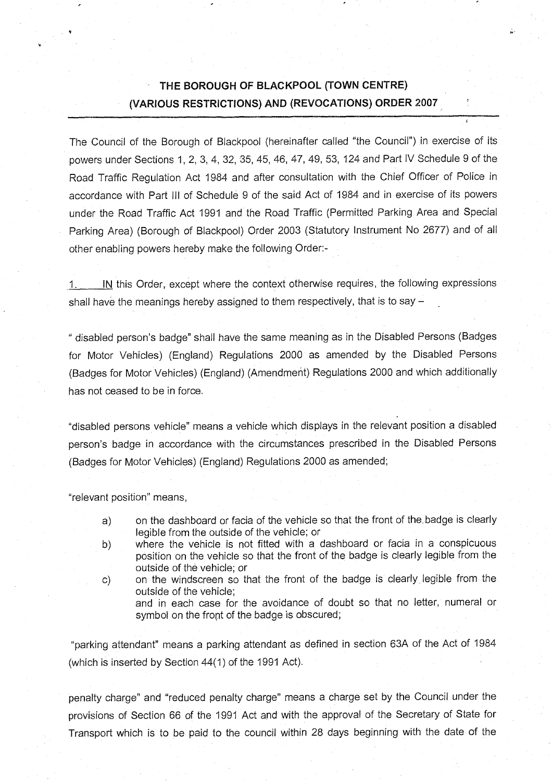## **THE BOROUGH OF BLACKPOOL (TOWN CENTRE) (VARIOUS RESTRICTIONS) AND (REVOCATIONS) ORDER 2007**

The Council of the Borough of Blackpool (hereinafter called "the Council") in exercise of its powers under Sections 1, 2, 3, 4, 32, 35, 45, 46, 47, 49, 53, 124 and Part IV Schedule 9 of the Road Traffic Regulation Act 1984 and after consultation with the Chief Officer of Police in accordance with Part III of Schedule 9 of the said Act of 1984 and in exercise of its powers under the Road Traffic Act 1991 and the Road Traffic (Permitted Parking Area and Special Parking Area) (Borough of Blackpool) Order 2003 (Statutory Instrument No 2677) and of all other enabling powers hereby make the following Order:-

1. Nothis Order, except where the context otherwise requires, the following expressions shall have the meanings hereby assigned to them respectively, that is to say  $-$ 

" disabled person's badge" shall have the same meaning as in the Disabled Persons (Badges for Motor Vehicles) (England) Regulations 2000 as amended by the Disabled Persons (Badges for Motor Vehicles) (England) (Amendment) Regulations 2000 and which additionally has not ceased to be in force.

"disabled persons vehicle" means a vehicle which displays in the relevant position a disabled person's badge in accordance with the circumstances prescribed in the Disabled Persons (Badges for Motor Vehicles) (England) Regulations 2000 as amended;

"relevant position" means,

- a) on the dashboard or facia of the vehicle so that the front of the. badge is clearly legible from the outside of the vehicle; or
- b) where the vehicle is not fitted with a dashboard or facia in a conspicuous position on the vehicle so that the front of the badge is clearly legible from the outside of the vehicle; or
- c) on the windscreen so that the front of the badge is clearly legible from the outside of the vehicle; and in each case for the avoidance of doubt so that no letter, numeral or

"parking attendant" means a parking attendant as defined in section 63A of the Act of 1984 (which is inserted by Section 44(1) of the 1991 Act).

symbol on the front of the badge is obscured;

penalty charge" and "reduced penalty charge" means a charge set by the Council under the provisions of Section 66 of the 1991 Act and with the approval of the Secretary of State for Transport which is to be paid to the council within 28 days beginning with the date of the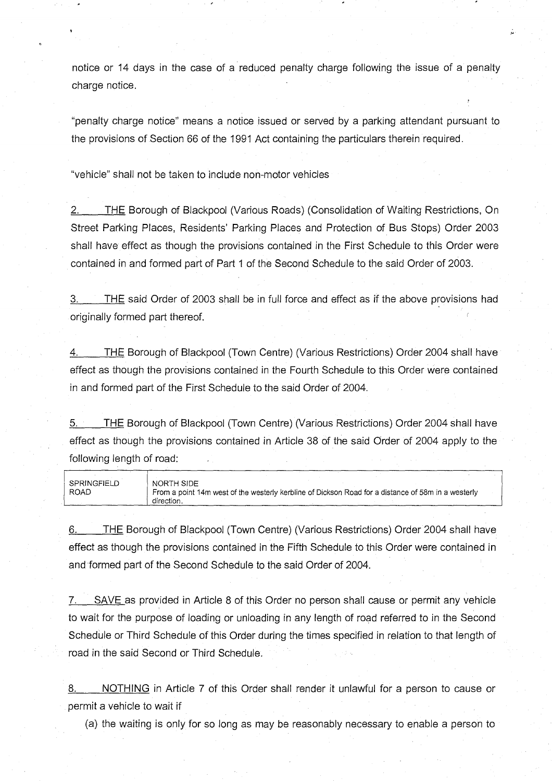notice or 14 days in the case of a reduced penalty charge following the issue of a penalty charge notice.

"penalty charge notice" means a notice issued or served by a parking attendant pursuant to the provisions of Section 66 of the 1991 Act containing the particulars therein required.

"vehicle" shall not be taken to include non-motor vehicles

2. THE Borough of Blackpool (Various Roads) (Consolidation of Waiting Restrictions, On Street Parking Places, Residents' Parking Places and Protection of Bus Stops) Order 2003 shall have effect as though the provisions contained in the First Schedule to this Order were contained in and formed part of Part 1 of the Second Schedule to the said Order of 2003.

3. THE said Order of 2003 shall be in full force and effect as if the above provisions had originally formed part thereof.

THE Borough of Blackpool (Town Centre) (Various Restrictions) Order 2004 shall have effect as though the provisions contained in the Fourth Schedule to this Order were contained in and formed part of the First Schedule to the said Order of 2004.

5. THE Borough of Blackpool (Town Centre) (Various Restrictions) Order 2004 shall have effect as though the provisions contained in Article 38 of the said Order of 2004 apply to the following length of road:

| SPRINGFIELD | NORTH SIDE                                                                                         |
|-------------|----------------------------------------------------------------------------------------------------|
| <b>ROAD</b> | From a point 14m west of the westerly kerbline of Dickson Road for a distance of 58m in a westerly |
|             | direction.                                                                                         |

6. THE Borough of Blackpool (Town Centre) (Various Restrictions) Order 2004 shall have effect as though the provisions contained in the Fifth Schedule to this Order were contained in and formed part of the Second Schedule to the said Order of 2004.

7. SAVE as provided in Article 8 of this Order no person shall cause or permit any vehicle to wait for the purpose of loading or unloading in any length of road referred to in the Second Schedule or Third Schedule of this Order during the times specified in relation to that length of road in the said Second or Third Schedule.

8. NOTHING in Article 7 of this Order shall render it unlawful for a person to cause or permit a vehicle to wait if

(a) the waiting is only for so long as may be reasonably necessary to enable a person to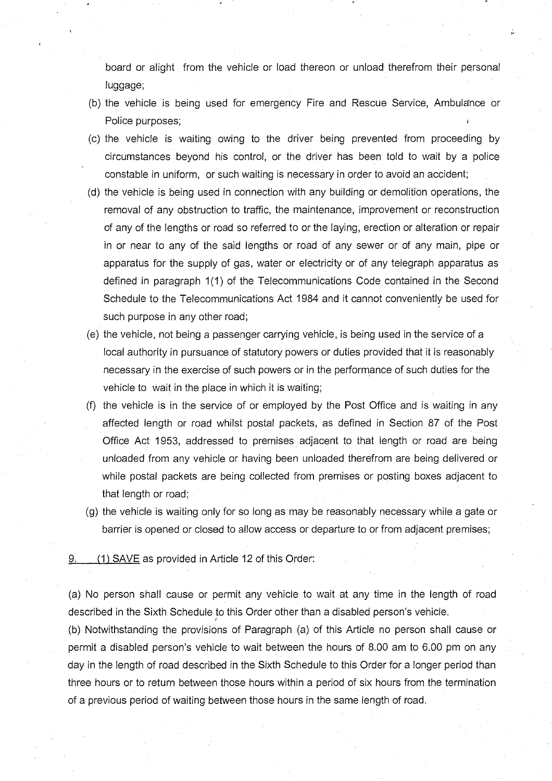board or alight from the vehicle or load thereon or unload therefrom their personal luggage;

- (b) the vehicle is being used for emergency Fire and Rescue Service, Ambula'nce or Police purposes;
- (c) the vehicle is waiting owing to the driver being prevented from proceeding by circumstances beyond his control, or the driver has been told to wait by a police constable in uniform, or such waiting is necessary in order to avoid an accident;
- (d) the vehicle is being used in connection with any building or demolition operations, the removal of any obstruction to traffic, the maintenance, improvement or reconstruction of any of the lengths or road so referred to or the laying, erection or alteration or repair in or near to any of the said lengths or road of any sewer or of any main, pipe or apparatus for the supply of gas, water or electricity or of any telegraph apparatus as defined in paragraph 1(1) of the Telecommunications Code contained in the Second Schedule to the Telecommunications Act 1984 and it cannot conveniently be used for such purpose in any other road;
- (e) the vehicle, not being a passenger carrying vehicle, is being used in the service of a local authority in pursuance of statutory powers or duties provided that it is reasonably necessary in the exercise of such powers or in the performance of such duties for the vehicle to wait in the place in which it is waiting;
- (f) the vehicle is in the service of or employed by the Post Office and is waiting in any affected length or road whilst postal packets, as defined in Section 87 of the Post Office Act 1953, addressed to premises adjacent to that length or road are being unloaded from any vehicle or having been unloaded therefrom are being delivered or while postal packets are being collected from premises or posting boxes adjacent to that length or road;
- (g) the vehicle is waiting only for so long as may be reasonably necessary while a gate or barrier is opened or closed to allow access or departure to or from adjacent premises;

 $9.$  (1) SAVE as provided in Article 12 of this Order:

(a) No person shall cause or permit any vehicle to wait at any time in the length of road described in the Sixth Schedule to this Order other than a disabled person's vehicle.

(b) Notwithstanding the provisions of Paragraph (a) of this Article no person shall cause or permit a disabled person's vehicle to wait between the hours of 8.00 am to 6.00 pm on any day in the length of road described in the Sixth Schedule to this Order for a longer period than three hours or to return between those hours within a period of six hours from the termination of a previous period of waiting between those hours in the same length of road.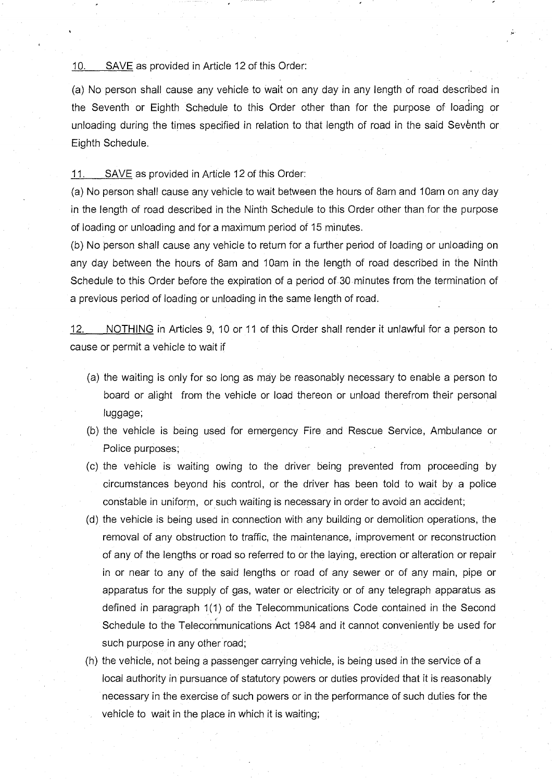#### 10. SAVE as provided in Article 12 of this Order:

(a) No person shall cause any vehicle to wait on any day in any length of road described in the Seventh or Eighth Schedule to this Order other than for the purpose of loading or unloading during the times specified in relation to that length of road in the said Seventh or Eighth Schedule.

#### 11. SAVE as provided in Article 12 of this Order:

(a) No person shall cause any vehicle to wait between the hours of Sam and 10am on any day in the length of road described in the Ninth Schedule to this Order other than for the purpose of loading or unloading and for a maximum period of 15 minutes.

(b) No person shall cause any vehicle to return for a further period of loading or unloading on any day between the hours of 8am and 10am in the length of road described in the Ninth Schedule to this Order before the expiration of a period of 30 minutes from the termination of a previous period of loading or unloading in the same length of road.

12. NOTHING in Articles 9, 10 or 11 of this Order shall render it unlawful for a person to cause or permit a vehicle to wait if

- (a) the waiting is only for so long as may be reasonably necessary to enable a person to board or alight from the vehicle or load thereon or unload therefrom their personal luggage;
- (b) the vehicle is being used for emergency Fire and Rescue Service, Ambulance or Police purposes;
- (c) the vehicle is waiting owing to the driver being prevented from proceeding by circumstances beyond his control, or the driver has been told to wait by a police constable in uniform, or such waiting is necessary in order to avoid an accident;
- (d) the vehicle is being used in connection with any building or demolition operations, the removal of any obstruction to traffic, the maintenance, improvement or reconstruction of any of the lengths or road so referred to or the laying, erection or alteration or repair in or near to any of the said lengths or road of any sewer or of any main, pipe or apparatus for the supply of gas, water or electricity or of any telegraph apparatus as defined in paragraph 1(1) of the Telecommunications Code contained in the Second Schedule to the Telecommunications Act 1984 and it cannot conveniently be used for such purpose in any other road;
- (h) the vehicle, not being a passenger carrying vehicle, is being used in the service of a local authority in pursuance of statutory powers or duties provided that it is reasonably necessary in the exercise of such powers or in the performance of such duties for the vehicle to wait in the place in which it is waiting;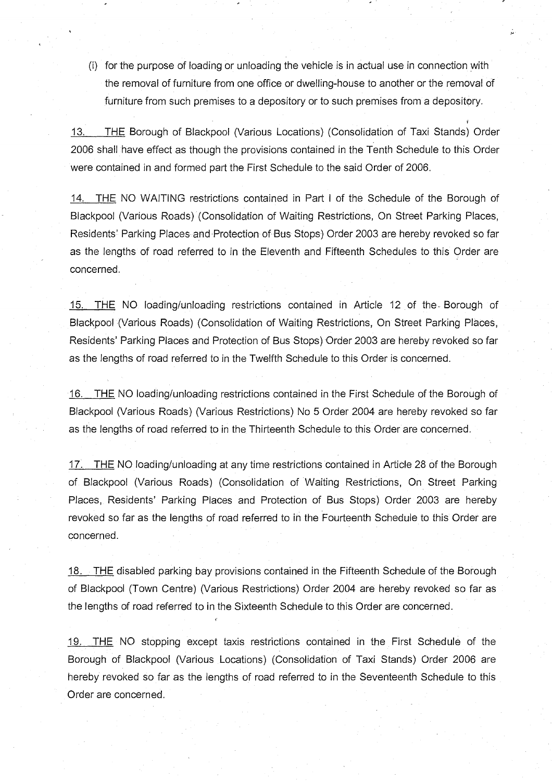(i) for the purpose of loading or unloading the vehicle is in actual use in connection with the removal of furniture from one office or dwelling-house to another or the removal of furniture from such premises to a depository or to such premises from a depository.

t

13. THE Borough of Blackpool (Various Locations) (Consolidation of Taxi Stands) Order 2006 shall have effect as though the provisions contained in the Tenth Schedule to this Order were contained in and formed part the First Schedule to the said Order of 2006.

14. THE NO WAITING restrictions contained in Part I of the Schedule of the Borough of Blackpool (Various Roads) (Consolidation of Waiting Restrictions, On Street Parking Places, Residents' Parking Places and Protection of Bus Stops) Order 2003 are hereby revoked so far as the lengths of road referred to in the Eleventh and Fifteenth Schedules to this Order are concerned.

15. THE NO loading/unloading restrictions contained in Article 12 of the-Borough of Blackpool (Various Roads) (Consolidation of Waiting Restrictions, On Street Parking Places, Residents' Parking Places and Protection of Bus Stops) Order 2003 are hereby revoked so far as the lengths of road referred to in the Twelfth Schedule to this Order is concerned.

16. THE NO loading/unloading restrictions contained in the First Schedule of the Borough of Blackpool (Various Roads) (Various Restrictions) No 5 Order 2004 are hereby revoked so far as the lengths of road referred to in the Thirteenth Schedule to this Order are concerned.

17. THE NO loading/unloading at any time restrictions contained in Article 28 of the Borough of Blackpool (Various Roads) (Consolidation of Waiting Restrictions, On Street Parking Places, Residents' Parking Places and Protection of Bus Stops) Order 2003 are hereby revoked so far as the lengths of road referred to in the Fourteenth Schedule to this Order are concerned.

18. THE disabled parking bay provisions contained in the Fifteenth Schedule of the Borough of Blackpool (Town Centre) (Various Restrictions) Order 2004 are hereby revoked so far as the lengths of road referred to in the Sixteenth Schedule to this Order are concerned.

f

19. THE NO stopping except taxis restrictions contained in the First Schedule of the Borough of Blackpool (Various Locations) (Consolidation of Taxi Stands) Order 2006 are hereby revoked so far as the lengths of road referred to in the Seventeenth Schedule to this Order are concerned.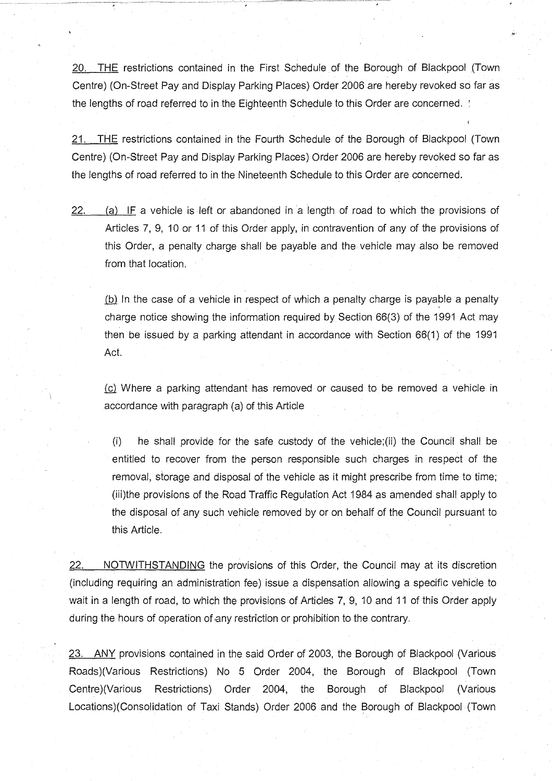20. THE restrictions contained in the First Schedule of the Borough of Blackpool (Town Centre) (On-Street Pay and Display Parking Places) Order 2006 are hereby revoked so far as the lengths of road referred to in the Eighteenth Schedule to this Order are concerned. ;

21. THE restrictions contained in the Fourth Schedule of the Borough of Blackpool (Town Centre) (On-Street Pay and Display Parking Places) Order 2006 are hereby revoked so far as the lengths of road referred to in the Nineteenth Schedule to this Order are concerned.

\*

 $22.$  (a) IF a vehicle is left or abandoned in a length of road to which the provisions of Articles 7, 9, 10 or 11 of this Order apply, in contravention of any of the provisions of this Order, a penalty charge shall be payable and the vehicle may also be removed from that location.

(b) In the case of a vehicle in respect of which a penalty charge is payable a penalty charge notice showing the information required by Section 66(3) of the 1991 Act may then be issued by a parking attendant in accordance with Section 66(1) of the 1991 Act.

(c) Where a parking attendant has removed or caused to be removed a vehicle in accordance with paragraph (a) of this Article

(i) he shall provide for the safe custody of the vehicle;(ii) the Council shall be entitled to recover from the person responsible such charges in respect of the removal, storage and disposal of the vehicle as it might prescribe from time to time; (iii)the provisions of the Road Traffic Regulation Act 1984 as amended shall apply to the disposal of any such vehicle removed by or on behalf of the Council pursuant to this Article.

22. NOTWITHSTANDING the provisions of this Order, the Council may at its discretion (including requiring an administration fee) issue a dispensation allowing a specific vehicle to wait in a length of road, to which the provisions of Articles 7, 9, 10 and 11 of this Order apply during the hours of operation of any restriction or prohibition to the contrary.

23. ANY provisions contained in the said Order of 2003, the Borough of Blackpool (Various Roads)(Various Restrictions) No 5 Order 2004, the Borough of Blackpool (Town Centre)(Various Restrictions) Order 2004, the Borough of Blackpool (Various Locations)(Consolidation of Taxi Stands) Order 2006 and the Borough of Blackpool (Town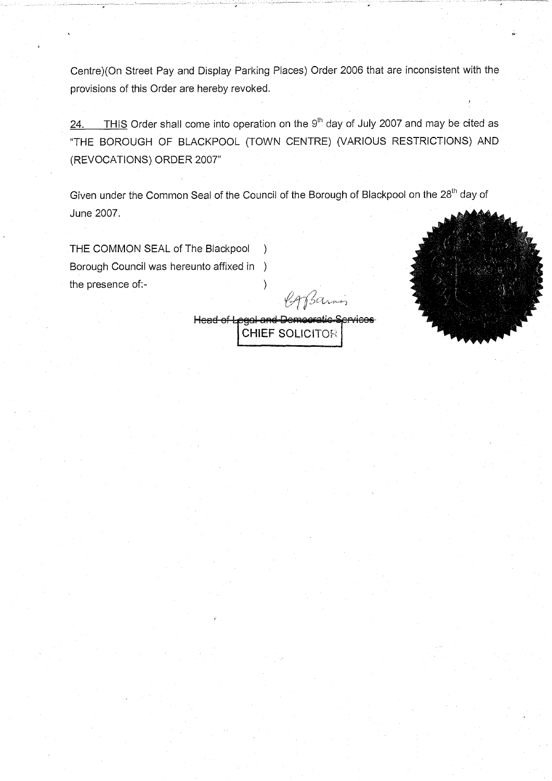Centre)(On Street Pay and Display Parking Places) Order 2006 that are inconsistent with the provisions of this Order are hereby revoked.

24. THIS Order shall come into operation on the  $9<sup>th</sup>$  day of July 2007 and may be cited as "THE BOROUGH OF BLACKPOOL (TOWN CENTRE) (VARIOUS RESTRICTIONS) AND (REVOCATIONS) ORDER 2007"

Given under the Common Seal of the Council of the Borough of Blackpool on the 28<sup>th</sup> day of June 2007.

THE COMMON SEAL of The Blackpool ) Borough Council was hereunto affixed in ) the presence of:- (a) and (b)  $\qquad \qquad$  (b)  $\qquad \qquad$  (c)  $\qquad \qquad$  (c)  $\qquad \qquad$  (c)  $\qquad \qquad$  (c)  $\qquad \qquad$  (c)  $\qquad \qquad$  (c)  $\qquad \qquad$  (c)  $\qquad \qquad$  (c)  $\qquad \qquad$  (c)  $\qquad \qquad$  (c)  $\qquad \qquad$  (c)  $\qquad \qquad$  (c)  $\qquad \qquad$  (c)  $\qquad \qquad$  (

Corpannes

Head of Legal and Democratic Services **CHIEF** SOLICITOR

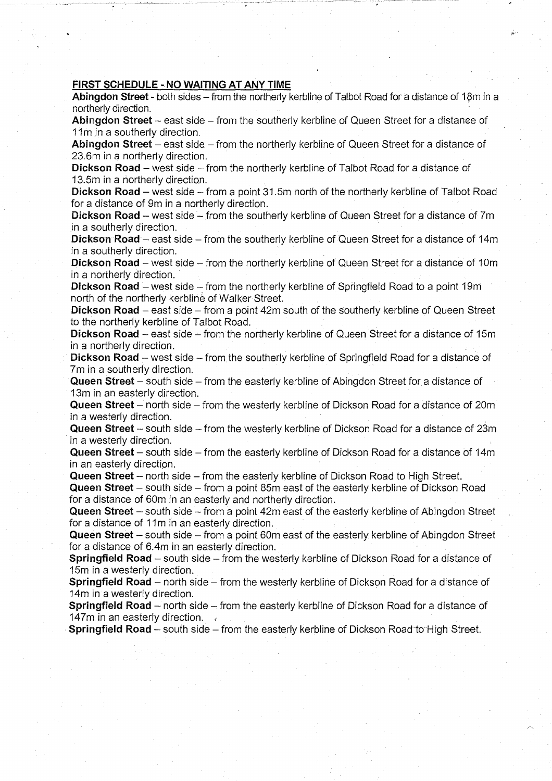#### **FIRST SCHEDULE - NO WAITING AT ANY TIME**

**Abingdon Street** - both sides - from the northerly kerbline of Talbot Road for a distance of 18m in a northerly direction.

**Abingdon Street** – east side – from the southerly kerbline of Queen Street for a distance of 11m in a southerly direction.

**Abingdon Street** – east side – from the northerly kerbline of Queen Street for a distance of 23.6m in a northerly direction.

**Dickson Road** – west side – from the northerly kerbline of Talbot Road for a distance of 13.5m in a northerly direction.

**Dickson Road** – west side – from a point 31.5m north of the northerly kerbline of Talbot Road for a distance of 9m in a northerly direction.

**Dickson Road** – west side – from the southerly kerbline of Queen Street for a distance of 7m in a southerly direction.

**Dickson Road** – east side – from the southerly kerbline of Queen Street for a distance of 14m in a southerly direction.

**Dickson Road** – west side – from the northerly kerbline of Queen Street for a distance of 10m in a northerly direction.

**Dickson Road** – west side – from the northerly kerbline of Springfield Road to a point 19m north of the northerly kerbline of Walker Street.

**Dickson Road** – east side – from a point 42m south of the southerly kerbline of Queen Street to the northerly kerbline of Talbot Road.

**Dickson Road** – east side – from the northerly kerbline of Queen Street for a distance of 15m in a northerly direction.

**Dickson Road** – west side – from the southerly kerbline of Springfield Road for a distance of 7m in a southerly direction.

**Queen Street** - south side - from the easterly kerbline of Abingdon Street for a distance of 13m in an easterly direction.

**Queen Street** – north side – from the westerly kerbline of Dickson Road for a distance of 20m in a westerly direction.

**Queen Street** - south side - from the westerly kerbline of Dickson Road for a distance of 23m in a westerly direction.

**Queen Street** – south side – from the easterly kerbline of Dickson Road for a distance of 14m in an easterly direction.

**Queen Street** – north side – from the easterly kerbline of Dickson Road to High Street.

**Queen Street** – south side – from a point 85m east of the easterly kerbline of Dickson Road for a distance of 60m in an easterly and northerly direction.

**Queen Street** – south side – from a point 42m east of the easterly kerbline of Abingdon Street for a distance of 11m in an easterly direction.

**Queen Street** – south side – from a point 60m east of the easterly kerbline of Abingdon Street for a distance of 6.4m in an easterly direction.

**Springfield Road** - south side - from the westerly kerbline of Dickson Road for a distance of 15m in a westerly direction.

**Springfield Road** – north side – from the westerly kerbline of Dickson Road for a distance of 14m in a westerly direction.

**Springfield Road** – north side – from the easterly kerbline of Dickson Road for a distance of 147m in an easterly direction.  $\epsilon$ 

**Springfield Road** – south side – from the easterly kerbline of Dickson Road to High Street.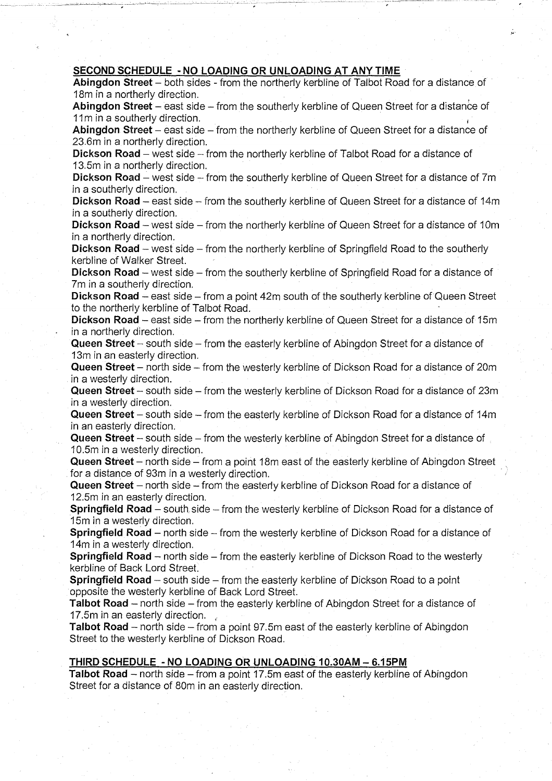#### **SECOND SCHEDULE - NO LOADING OR UNLOADING AT ANY TIME**

Abingdon Street – both sides - from the northerly kerbline of Talbot Road for a distance of 18m in a northerly direction.

**Abingdon Street** – east side – from the southerly kerbline of Queen Street for a distance of 11m in a southerly direction.

Abingdon Street – east side – from the northerly kerbline of Queen Street for a distance of 23.6m in a northerly direction.

**Dickson Road** – west side – from the northerly kerbline of Talbot Road for a distance of 13.5m in a northerly direction.

**Dickson Road** – west side – from the southerly kerbline of Queen Street for a distance of 7m in a southerly direction.

**Dickson Road** – east side – from the southerly kerbline of Queen Street for a distance of 14m in a southerly direction.

**Dickson Road** – west side – from the northerly kerbline of Queen Street for a distance of 10m in a northerly direction.

**Dickson Road** – west side – from the northerly kerbline of Springfield Road to the southerly kerbline of Walker Street.

**Dickson Road** – west side – from the southerly kerbline of Springfield Road for a distance of 7m in a southerly direction.

**Dickson Road** – east side – from a point 42m south of the southerly kerbline of Queen Street to the northerly kerbline of Talbot Road.

**Dickson Road** – east side – from the northerly kerbline of Queen Street for a distance of 15m in a northerly direction.

**Queen Street** - south side - from the easterly kerbline of Abingdon Street for a distance of 13m in an easterly direction.

**Queen Street** – north side – from the westerly kerbline of Dickson Road for a distance of 20m in a westerly direction.

**Queen Street** - south side - from the westerly kerbline of Dickson Road for a distance of 23m in a westerly direction.

**Queen Street** – south side – from the easterly kerbline of Dickson Road for a distance of 14m in an easterly direction.

**Queen Street** – south side – from the westerly kerbline of Abingdon Street for a distance of 10.5m in a westerly direction.

**Queen Street** – north side – from a point 18m east of the easterly kerbline of Abingdon Street for a distance of 93m in a westerly direction.

**Queen Street** – north side – from the easterly kerbline of Dickson Road for a distance of 12.5m in an easterly direction.

**Springfield Road** - south side - from the westerly kerbline of Dickson Road for a distance of 15m in a westerly direction.

**Springfield Road** – north side – from the westerly kerbline of Dickson Road for a distance of 14m in a westerly direction.

**Springfield Road** - north side - from the easterly kerbline of Dickson Road to the westerly kerbline of Back Lord Street.

**Springfield Road** – south side – from the easterly kerbline of Dickson Road to a point opposite the westerly kerbline of Back Lord Street.

**Talbot Road** – north side – from the easterly kerbline of Abingdon Street for a distance of 17.5m in an easterly direction.

**Talbot Road** – north side – from a point 97.5m east of the easterly kerbline of Abingdon Street to the westerly kerbline of Dickson Road.

#### **THIRD SCHEDULE - NO LOADING OR UNLOADING 10.30AM - 6.15PM**

**Talbot Road** – north side – from a point 17.5m east of the easterly kerbline of Abingdon Street for a distance of 80m in an easterly direction.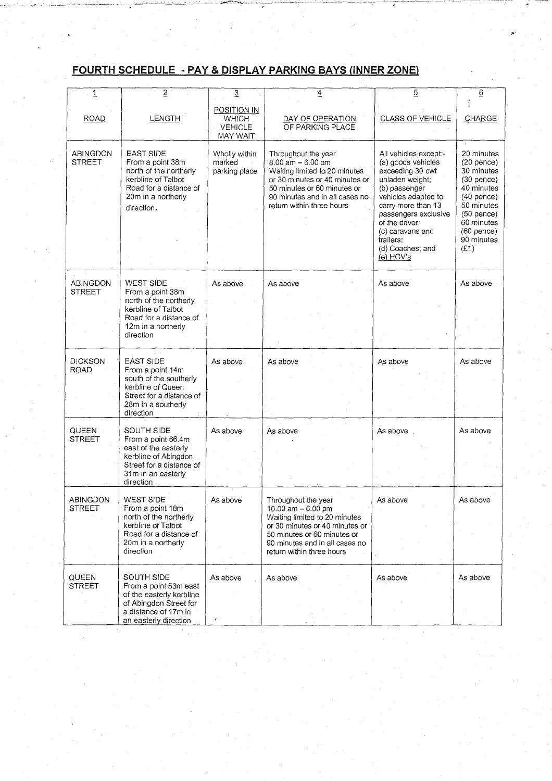# **FOURTH SCHEDULE - PAY & DISPLAY PARKING BAYS (INNER ZONE)**

| $\overline{1}$                   | $\overline{2}$                                                                                                                                     | $\overline{3}$                                            | $\overline{4}$                                                                                                                                                                                               | 5                                                                                                                                                                                                                                                            | $\underline{6}$                                                                                                                                                          |
|----------------------------------|----------------------------------------------------------------------------------------------------------------------------------------------------|-----------------------------------------------------------|--------------------------------------------------------------------------------------------------------------------------------------------------------------------------------------------------------------|--------------------------------------------------------------------------------------------------------------------------------------------------------------------------------------------------------------------------------------------------------------|--------------------------------------------------------------------------------------------------------------------------------------------------------------------------|
| <b>ROAD</b>                      | LENGTH                                                                                                                                             | <b>POSITION IN</b><br><b>WHICH</b><br>VEHICLE<br>MAY WAIT | DAY OF OPERATION<br>OF PARKING PLACE                                                                                                                                                                         | CLASS OF VEHICLE                                                                                                                                                                                                                                             | CHARGE                                                                                                                                                                   |
| <b>ABINGDON</b><br><b>STREET</b> | <b>EAST SIDE</b><br>From a point 38m<br>north of the northerly<br>kerbline of Talbot<br>Road for a distance of<br>20m in a northerly<br>direction. | Wholly within<br>marked<br>parking place                  | Throughout the year<br>$8.00$ am $-6.00$ pm<br>Waiting limited to 20 minutes<br>or 30 minutes or 40 minutes or<br>50 minutes or 60 minutes or<br>90 minutes and in all cases no<br>return within three hours | All vehicles except:-<br>(a) goods vehicles<br>exceeding 30 cwt<br>unladen weight;<br>(b) passenger<br>vehicles adapted to<br>carry more than 13<br>passengers exclusive<br>of the driver;<br>(c) caravans and<br>trailers;<br>(d) Coaches; and<br>(e) HGV's | 20 minutes<br>$(20$ pence)<br>30 minutes<br>$(30$ pence)<br>40 minutes<br>$(40$ pence)<br>50 minutes<br>$(50$ pence)<br>60 minutes<br>$(60$ pence)<br>90 minutes<br>(E1) |
| ABINGDON<br><b>STREET</b>        | <b>WEST SIDE</b><br>From a point 38m<br>north of the northerly<br>kerbline of Talbot<br>Road for a distance of<br>12m in a northerly<br>direction  | As above                                                  | As above                                                                                                                                                                                                     | As above                                                                                                                                                                                                                                                     | As above                                                                                                                                                                 |
| <b>DICKSON</b><br><b>ROAD</b>    | <b>EAST SIDE</b><br>From a point 14m<br>south of the southerly<br>kerbline of Queen<br>Street for a distance of<br>28m in a southerly<br>direction | As above                                                  | As above                                                                                                                                                                                                     | As above                                                                                                                                                                                                                                                     | As above                                                                                                                                                                 |
| QUEEN<br><b>STREET</b>           | SOUTH SIDE<br>From a point 66.4m<br>east of the easterly<br>kerbline of Abingdon<br>Street for a distance of<br>31m in an easterly<br>direction    | As above                                                  | As above                                                                                                                                                                                                     | As above                                                                                                                                                                                                                                                     | As above                                                                                                                                                                 |
| <b>ABINGDON</b><br><b>STREET</b> | <b>WEST SIDE</b><br>From a point 18m<br>north of the northerly<br>kerbline of Talbot<br>Road for a distance of<br>20m in a northerly<br>direction  | As above                                                  | Throughout the year<br>10.00 am $-6.00$ pm<br>Waiting limited to 20 minutes<br>or 30 minutes or 40 minutes or<br>50 minutes or 60 minutes or<br>90 minutes and in all cases no<br>return within three hours  | As above                                                                                                                                                                                                                                                     | As above                                                                                                                                                                 |
| QUEEN<br><b>STREET</b>           | SOUTH SIDE<br>From a point 53m east<br>of the easterly kerbline<br>of Abingdon Street for<br>a distance of 17m in<br>an easterly direction         | As above                                                  | As above                                                                                                                                                                                                     | As above                                                                                                                                                                                                                                                     | As above                                                                                                                                                                 |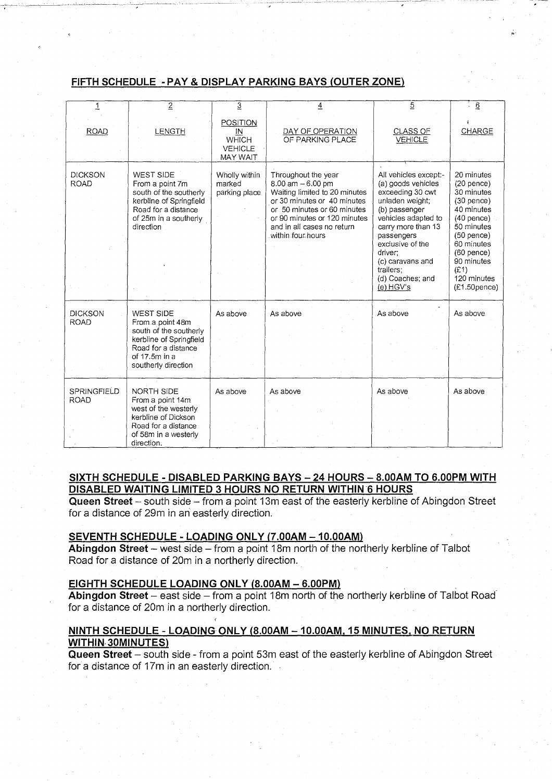#### **FIFTH SCHEDULE -PAY& DISPLAY PARKING BAYS (OUTER ZONE)**

| 1                             | $\overline{2}$                                                                                                                                           | $\overline{3}$                                                      | $\overline{4}$                                                                                                                                                                                                              | $\overline{5}$                                                                                                                                                                     | $\overline{6}$                                                                                                                     |
|-------------------------------|----------------------------------------------------------------------------------------------------------------------------------------------------------|---------------------------------------------------------------------|-----------------------------------------------------------------------------------------------------------------------------------------------------------------------------------------------------------------------------|------------------------------------------------------------------------------------------------------------------------------------------------------------------------------------|------------------------------------------------------------------------------------------------------------------------------------|
| <b>ROAD</b>                   | LENGTH                                                                                                                                                   | POSITION<br>ΙN<br><b>WHICH</b><br><b>VEHICLE</b><br><b>MAY WAIT</b> | DAY OF OPERATION<br>OF PARKING PLACE                                                                                                                                                                                        | <b>CLASS OF</b><br><b>VEHICLE</b>                                                                                                                                                  | CHARGE                                                                                                                             |
| <b>DICKSON</b><br><b>ROAD</b> | WEST SIDE<br>From a point 7m<br>south of the southerly<br>kerbline of Springfield<br>Road for a distance<br>of 25m in a southerly<br>direction.          | Wholly within<br>marked<br>parking place                            | Throughout the year<br>8.00 am $-6.00$ pm<br>Waiting limited to 20 minutes<br>or 30 minutes or 40 minutes<br>or 50 minutes or 60 minutes<br>or 90 minutes or 120 minutes<br>and in all cases no return<br>within four hours | All vehicles except:-<br>(a) goods vehicles<br>exceeding 30 cwt<br>unladen weight;<br>(b) passenger<br>vehicles adapted to<br>carry more than 13<br>passengers<br>exclusive of the | 20 minutes<br>$(20$ pence)<br>30 minutes<br>$(30$ pence)<br>40 minutes<br>$(40$ pence)<br>50 minutes<br>$(50$ pence)<br>60 minutes |
|                               |                                                                                                                                                          |                                                                     |                                                                                                                                                                                                                             | driver:<br>(c) caravans and<br>trailers:<br>(d) Coaches; and<br>(e) HGV's                                                                                                          | $(60$ pence)<br>90 minutes<br>(E1)<br>120 minutes<br>$(E1.50$ pence)                                                               |
| <b>DICKSON</b><br><b>ROAD</b> | <b>WEST SIDE</b><br>From a point 48m<br>south of the southerly<br>kerbline of Springfield<br>Road for a distance<br>of 17.5m in a<br>southerly direction | As above                                                            | As above                                                                                                                                                                                                                    | As above                                                                                                                                                                           | As above                                                                                                                           |
| SPRINGFIELD<br><b>ROAD</b>    | NORTH SIDE<br>From a point 14m<br>west of the westerly<br>kerbline of Dickson<br>Road for a distance<br>of 58m in a westerly<br>direction.               | As above                                                            | As above                                                                                                                                                                                                                    | As above                                                                                                                                                                           | As above                                                                                                                           |

#### **SIXTH SCHEDULE - DISABLED PARKING BAYS - 24 HOURS - 8.00AM TO 6.00PM WITH DISABLED WAITING LIMITED 3 HOURS NO RETURN WITHIN 6 HOURS**

**Queen Street** - south side - from a point 13m east of the easterly kerbline of Abingdon Street for a distance of 29m in an easterly direction.

#### **SEVENTH SCHEDULE LOADING ONLY (7.00AM - 10.00AM)**

c

Abingdon Street - west side - from a point 18m north of the northerly kerbline of Talbot Road for a distance of 20m in a northerly direction.

#### **EIGHTH SCHEDULE LOADING ONLY (8.00AM - 6.00PM)**

Abingdon Street - east side - from a point 18m north of the northerly kerbline of Talbot Road for a distance of 20m in a northerly direction.

#### **NINTH SCHEDULE - LOADING ONLY (8.00AM - 10.00AM. 15 MINUTES. NO RETURN WITHIN 30MINUTES)**

**Queen Street** - south side - from a point 53m east of the easterly kerbline of Abingdon Street for a distance of 17m in an easterly direction.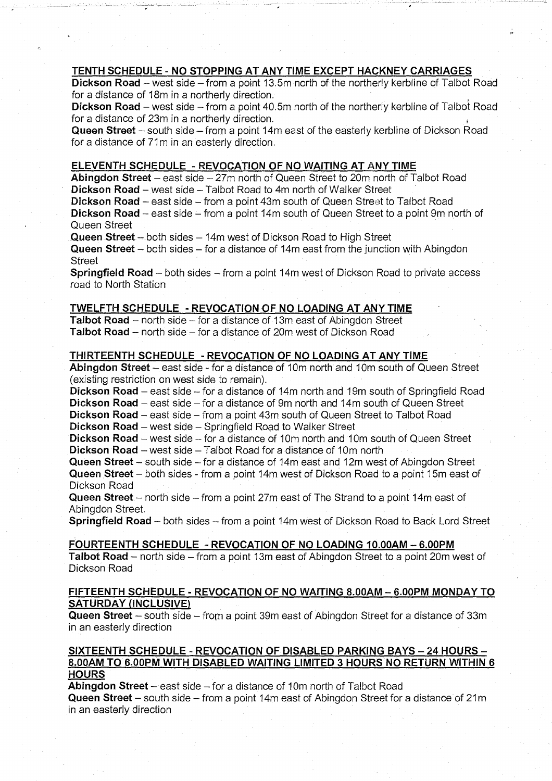#### **TENTH SCHEDULE - NO STOPPING AT ANY TIME EXCEPT HACKNEY CARRIAGES**

**Dickson Road** – west side – from a point 13.5m north of the northerly kerbline of Talbot Road for a distance of 18m in a northerly direction.

**Dickson Road** – west side – from a point 40.5m north of the northerly kerbline of Talbot Road for a distance of 23m in a northerly direction.

**Queen Street** – south side – from a point 14m east of the easterly kerbline of Dickson Road for a distance of 71m in an easterly direction.

#### **ELEVENTH SCHEDULE - REVOCATION OF NO WAITING AT ANY TIME**

**Abingdon Street** - east side - 27m north of Queen Street to 20m north of Talbot Road **Dickson Road** – west side – Talbot Road to 4m north of Walker Street

**Dickson Road** – east side – from a point 43m south of Queen Street to Talbot Road **Dickson Road** – east side – from a point 14m south of Queen Street to a point 9m north of Queen Street

**Queen Street** - both sides - 14m west of Dickson Road to High Street

**Queen Street** – both sides – for a distance of 14m east from the junction with Abingdon **Street** 

**Springfield Road** - both sides - from a point 14m west of Dickson Road to private access road to North Station

#### **TWELFTH SCHEDULE - REVOCATION OF NO LOADING AT ANYTIME**

**Talbot Road** – north side – for a distance of 13m east of Abingdon Street Talbot Road - north side - for a distance of 20m west of Dickson Road

#### **THIRTEENTH SCHEDULE - REVOCATION OF NO LOADING AT ANY TIME**

**Abingdon Street** - east side - for a distance of 10m north and 10m south of Queen Street (existing restriction on west side to remain).

**Dickson Road** – east side – for a distance of 14m north and 19m south of Springfield Road **Dickson Road** – east side – for a distance of 9m north and 14m south of Queen Street

**Dickson Road** – east side – from a point 43m south of Queen Street to Talbot Road

**Dickson Road** – west side – Springfield Road to Walker Street

**Dickson Road** – west side – for a distance of 10m north and 10m south of Queen Street

**Dickson Road** – west side – Talbot Road for a distance of 10m north

**Queen Street** – south side – for a distance of 14m east and 12m west of Abingdon Street **Queen Street** – both sides - from a point 14m west of Dickson Road to a point 15m east of Dickson Road

**Queen Street** – north side – from a point 27m east of The Strand to a point 14m east of Abingdon Street.

**Springfield Road** - both sides - from a point 14m west of Dickson Road to Back Lord Street

#### **FOURTEENTH SCHEDULE - REVOCATION OF NO LOADING 10.00AM - 6.00PM**

Talbot Road – north side – from a point 13m east of Abingdon Street to a point 20m west of Dickson Road

#### **FIFTEENTH SCHEDULE - REVOCATION OF NO WAITING 8.00AM - 6.00PM MONDAY TO SATURDAY (INCLUSIVE)**

**Queen Street** – south side – from a point 39m east of Abingdon Street for a distance of 33m in an easterly direction

#### **SIXTEENTH SCHEDULE - REVOCATION OF DISABLED PARKING BAYS - 24 HOURS - 8.00AM TO 6.00PM WITH DISABLED WAITING LIMITED 3 HOURS NO RETURN WITHIN 6 HOURS**

**Abingdon Street** - east side - for a distance of 10m north of Talbot Road **Queen Street** – south side – from a point 14m east of Abingdon Street for a distance of 21m in an easterly direction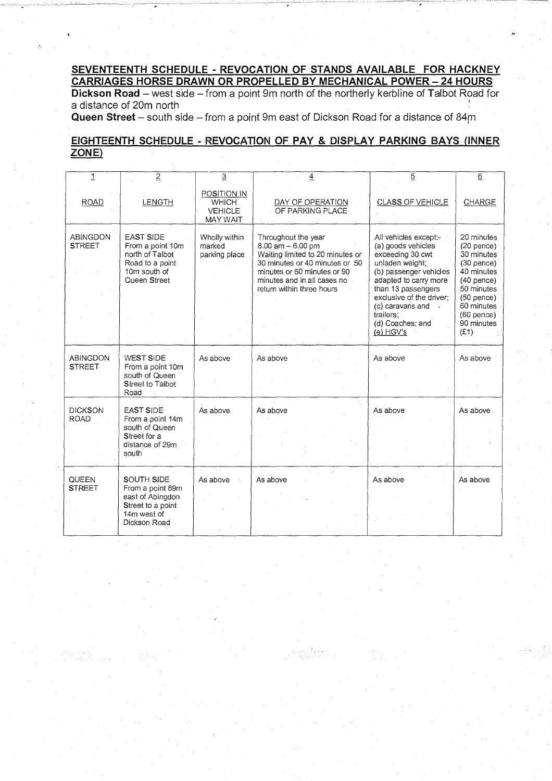#### **SEVENTEENTH SCHEDULE - REVOCATION OF STANDS AVAILABLE FOR HACKNEY CARRIAGES HORSE DRAWN OR PROPELLED BY MECHANICAL POWER - 24 HOURS**

**Dickson Road** – west side – from a point 9m north of the northerly kerbline of Talbot Road for a distance of 20m north

**Queen Street** – south side – from a point 9m east of Dickson Road for a distance of 84m

### **EIGHTEENTH SCHEDULE - REVOCATION OF PAY & DISPLAY PARKING BAYS (INNER) ZONE)**

| $\mathbf{1}$                  | $\overline{2}$                                                                                             | $\overline{3}$                                            | $\overline{4}$                                                                                                                                                                                                | $\overline{5}$                                                                                                                                                                                                                                            | $\underline{6}$                                                                                                                                                          |
|-------------------------------|------------------------------------------------------------------------------------------------------------|-----------------------------------------------------------|---------------------------------------------------------------------------------------------------------------------------------------------------------------------------------------------------------------|-----------------------------------------------------------------------------------------------------------------------------------------------------------------------------------------------------------------------------------------------------------|--------------------------------------------------------------------------------------------------------------------------------------------------------------------------|
| <b>ROAD</b>                   | <b>LENGTH</b>                                                                                              | POSITION IN<br><b>WHICH</b><br>VEHICLE<br><b>MAY WAIT</b> | DAY OF OPERATION<br>OF PARKING PLACE                                                                                                                                                                          | <b>CLASS OF VEHICLE</b>                                                                                                                                                                                                                                   | CHARGE                                                                                                                                                                   |
| ABINGDON<br><b>STREET</b>     | <b>EAST SIDE</b><br>From a point 10m<br>north of Talbot<br>Road to a point<br>10m south of<br>Queen Street | Wholly within<br>marked<br>parking place                  | Throughout the year<br>$8.00$ am $- 6.00$ pm<br>Waiting limited to 20 minutes or<br>30 minutes or 40 minutes or 50<br>minutes or 60 minutes or 90<br>minutes and in all cases no<br>return within three hours | All vehicles except:-<br>(a) goods vehicles<br>exceeding 30 cwt<br>unladen weight;<br>(b) passenger vehicles<br>adapted to carry more<br>than 13 passengers<br>exclusive of the driver:<br>(c) caravans and<br>trailers:<br>(d) Coaches; and<br>(e) HGV's | 20 minutes<br>$(20$ pence)<br>30 minutes<br>$(30$ pence)<br>40 minutes<br>$(40$ pence)<br>50 minutes<br>$(50$ pence)<br>60 minutes<br>$(60$ pence)<br>90 minutes<br>(E1) |
| ABINGDON<br><b>STRFFT</b>     | WEST SIDE<br>From a point 10m<br>south of Queen<br><b>Street to Talbot</b><br>Road                         | As above                                                  | As above                                                                                                                                                                                                      | As above                                                                                                                                                                                                                                                  | As above                                                                                                                                                                 |
| <b>DICKSON</b><br><b>ROAD</b> | <b>EAST SIDE</b><br>From a point 14m<br>south of Queen<br>Street for a<br>distance of 29m<br>south         | As above                                                  | As above                                                                                                                                                                                                      | As above                                                                                                                                                                                                                                                  | As above                                                                                                                                                                 |
| <b>QUEEN</b><br><b>STREET</b> | SOUTH SIDE<br>From a point 69m<br>east of Abingdon<br>Street to a point<br>14m west of<br>Dickson Road     | As above                                                  | As above                                                                                                                                                                                                      | As above                                                                                                                                                                                                                                                  | As above                                                                                                                                                                 |